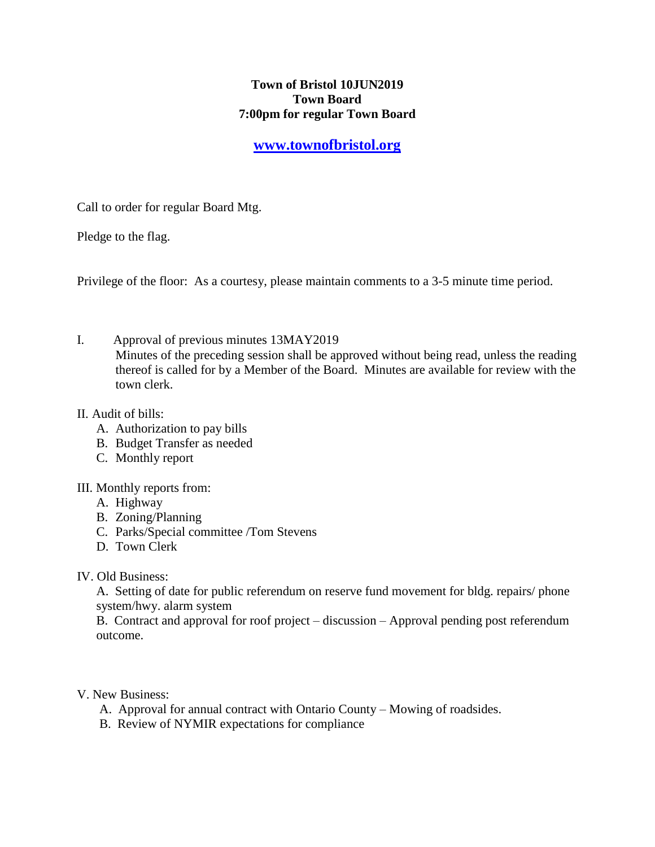## **Town of Bristol 10JUN2019 Town Board 7:00pm for regular Town Board**

## **[www.townofbristol.org](http://www.townofbristol.org/)**

Call to order for regular Board Mtg.

Pledge to the flag.

Privilege of the floor: As a courtesy, please maintain comments to a 3-5 minute time period.

I. Approval of previous minutes 13MAY2019 Minutes of the preceding session shall be approved without being read, unless the reading thereof is called for by a Member of the Board. Minutes are available for review with the town clerk.

## II. Audit of bills:

- A. Authorization to pay bills
- B. Budget Transfer as needed
- C. Monthly report
- III. Monthly reports from:
	- A. Highway
	- B. Zoning/Planning
	- C. Parks/Special committee /Tom Stevens
	- D. Town Clerk
- IV. Old Business:

 A. Setting of date for public referendum on reserve fund movement for bldg. repairs/ phone system/hwy. alarm system

 B. Contract and approval for roof project – discussion – Approval pending post referendum outcome.

V. New Business:

- A. Approval for annual contract with Ontario County Mowing of roadsides.
- B. Review of NYMIR expectations for compliance